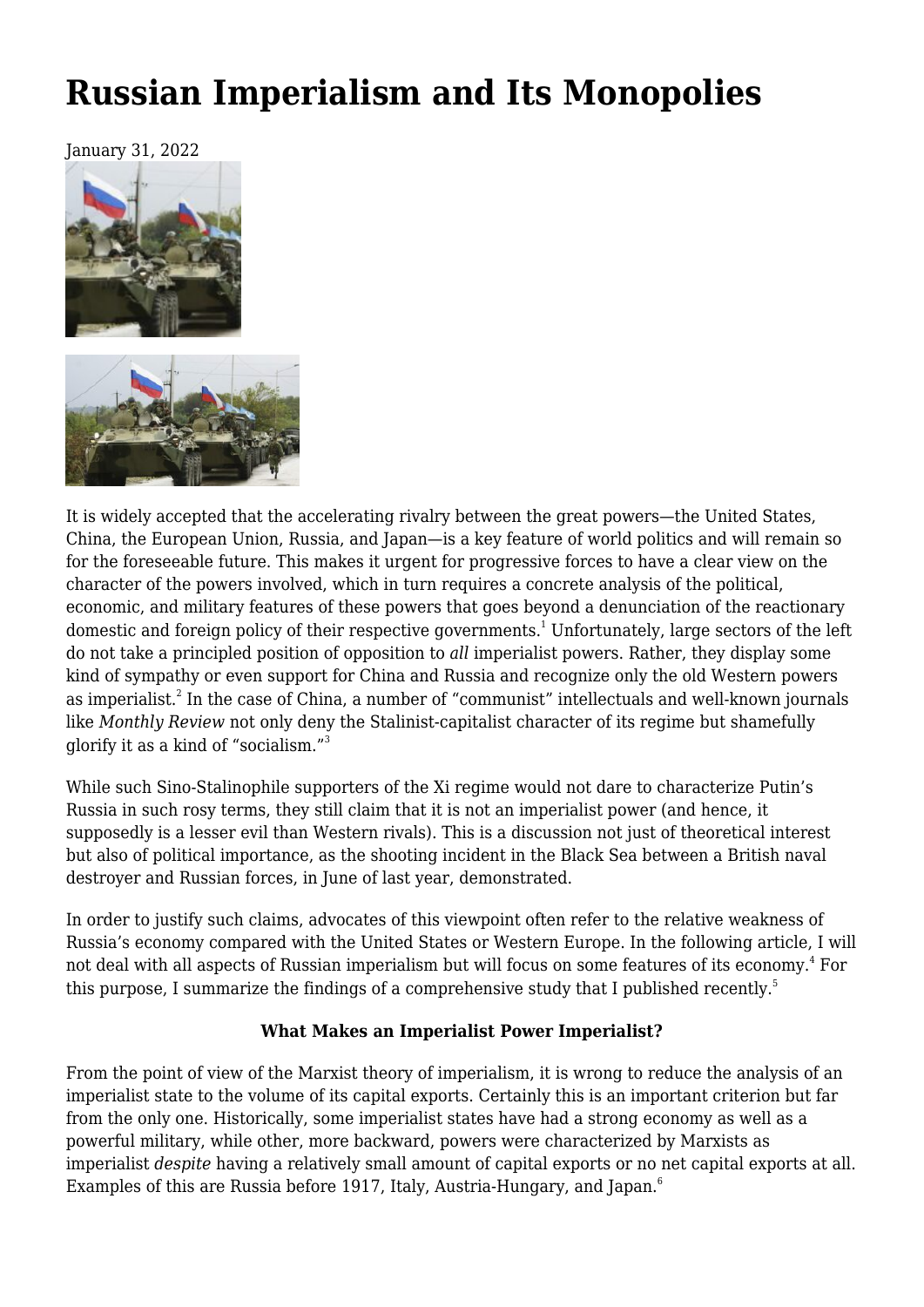# **[Russian Imperialism and Its Monopolies](https://newpol.org/issue_post/russian-imperialism-and-its-monopolies/)**

January 31, 2022





It is widely accepted that the accelerating rivalry between the great powers—the United States, China, the European Union, Russia, and Japan—is a key feature of world politics and will remain so for the foreseeable future. This makes it urgent for progressive forces to have a clear view on the character of the powers involved, which in turn requires a concrete analysis of the political, economic, and military features of these powers that goes beyond a denunciation of the reactionary domestic and foreign policy of their respective governments.<sup>1</sup> Unfortunately, large sectors of the left do not take a principled position of opposition to *all* imperialist powers. Rather, they display some kind of sympathy or even support for China and Russia and recognize only the old Western powers as imperialist. $^2$  In the case of China, a number of "communist" intellectuals and well-known journals like *Monthly Review* not only deny the Stalinist-capitalist character of its regime but shamefully glorify it as a kind of "socialism."<sup>3</sup>

While such Sino-Stalinophile supporters of the Xi regime would not dare to characterize Putin's Russia in such rosy terms, they still claim that it is not an imperialist power (and hence, it supposedly is a lesser evil than Western rivals). This is a discussion not just of theoretical interest but also of political importance, as the shooting incident in the Black Sea between a British naval destroyer and Russian forces, in June of last year, demonstrated.

In order to justify such claims, advocates of this viewpoint often refer to the relative weakness of Russia's economy compared with the United States or Western Europe. In the following article, I will not deal with all aspects of Russian imperialism but will focus on some features of its economy. $^{\textrm{\tiny{4}}}$  For this purpose, I summarize the findings of a comprehensive study that I published recently.<sup>5</sup>

# **What Makes an Imperialist Power Imperialist?**

From the point of view of the Marxist theory of imperialism, it is wrong to reduce the analysis of an imperialist state to the volume of its capital exports. Certainly this is an important criterion but far from the only one. Historically, some imperialist states have had a strong economy as well as a powerful military, while other, more backward, powers were characterized by Marxists as imperialist *despite* having a relatively small amount of capital exports or no net capital exports at all. Examples of this are Russia before 1917, Italy, Austria-Hungary, and Japan.<sup>6</sup>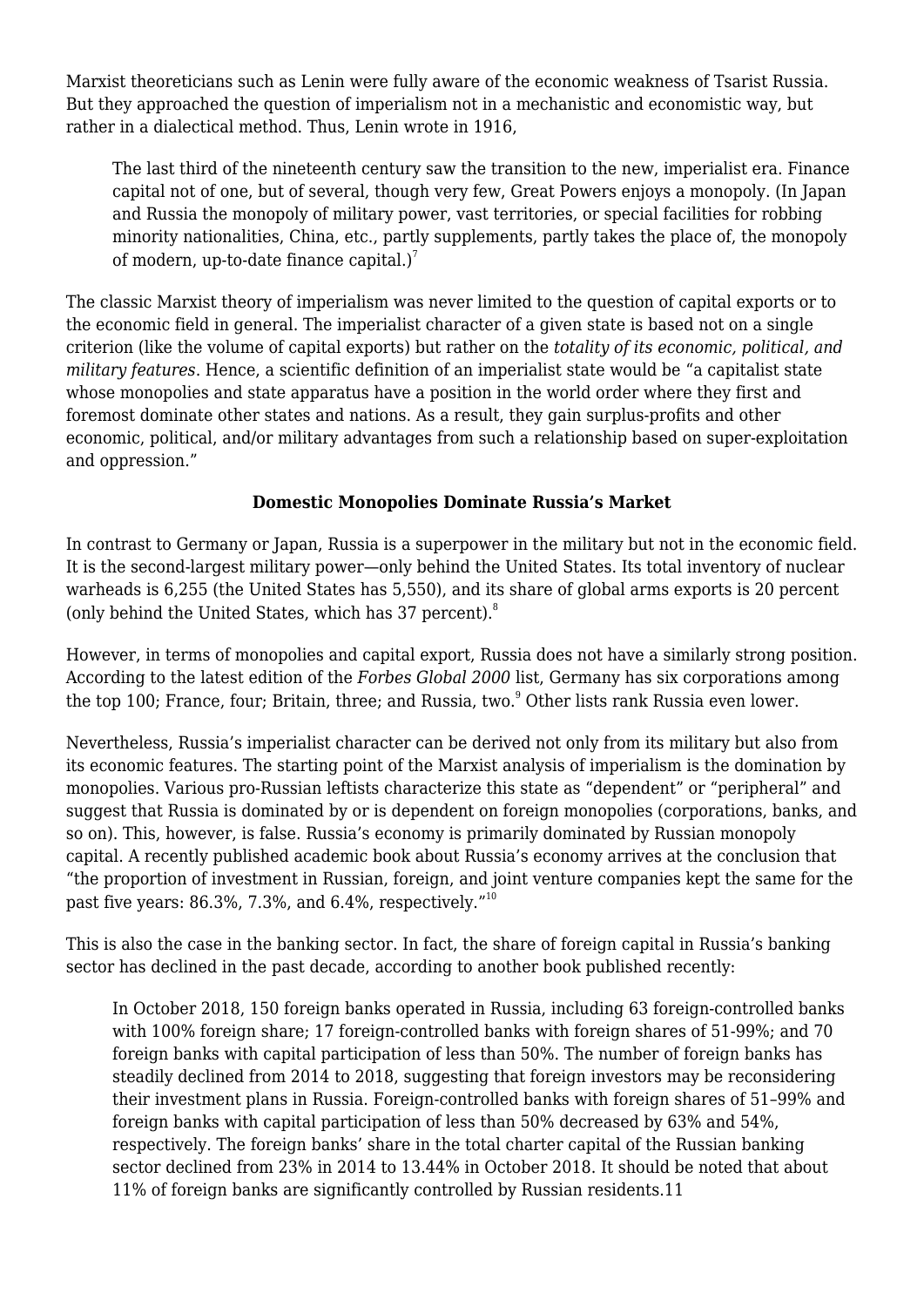Marxist theoreticians such as Lenin were fully aware of the economic weakness of Tsarist Russia. But they approached the question of imperialism not in a mechanistic and economistic way, but rather in a dialectical method. Thus, Lenin wrote in 1916,

The last third of the nineteenth century saw the transition to the new, imperialist era. Finance capital not of one, but of several, though very few, Great Powers enjoys a monopoly. (In Japan and Russia the monopoly of military power, vast territories, or special facilities for robbing minority nationalities, China, etc., partly supplements, partly takes the place of, the monopoly of modern, up-to-date finance capital.) $^7$ 

The classic Marxist theory of imperialism was never limited to the question of capital exports or to the economic field in general. The imperialist character of a given state is based not on a single criterion (like the volume of capital exports) but rather on the *totality of its economic, political, and military features*. Hence, a scientific definition of an imperialist state would be "a capitalist state whose monopolies and state apparatus have a position in the world order where they first and foremost dominate other states and nations. As a result, they gain surplus-profits and other economic, political, and/or military advantages from such a relationship based on super-exploitation and oppression."

# **Domestic Monopolies Dominate Russia's Market**

In contrast to Germany or Japan, Russia is a superpower in the military but not in the economic field. It is the second-largest military power—only behind the United States. Its total inventory of nuclear warheads is 6,255 (the United States has 5,550), and its share of global arms exports is 20 percent (only behind the United States, which has 37 percent).<sup>8</sup>

However, in terms of monopolies and capital export, Russia does not have a similarly strong position. According to the latest edition of the *Forbes Global 2000* list, Germany has six corporations among the top 100; France, four; Britain, three; and Russia, two. $^{\circ}$  Other lists rank Russia even lower.

Nevertheless, Russia's imperialist character can be derived not only from its military but also from its economic features. The starting point of the Marxist analysis of imperialism is the domination by monopolies. Various pro-Russian leftists characterize this state as "dependent" or "peripheral" and suggest that Russia is dominated by or is dependent on foreign monopolies (corporations, banks, and so on). This, however, is false. Russia's economy is primarily dominated by Russian monopoly capital. A recently published academic book about Russia's economy arrives at the conclusion that "the proportion of investment in Russian, foreign, and joint venture companies kept the same for the past five years: 86.3%, 7.3%, and 6.4%, respectively."<sup>10</sup>

This is also the case in the banking sector. In fact, the share of foreign capital in Russia's banking sector has declined in the past decade, according to another book published recently:

In October 2018, 150 foreign banks operated in Russia, including 63 foreign-controlled banks with 100% foreign share; 17 foreign-controlled banks with foreign shares of 51-99%; and 70 foreign banks with capital participation of less than 50%. The number of foreign banks has steadily declined from 2014 to 2018, suggesting that foreign investors may be reconsidering their investment plans in Russia. Foreign-controlled banks with foreign shares of 51–99% and foreign banks with capital participation of less than 50% decreased by 63% and 54%, respectively. The foreign banks' share in the total charter capital of the Russian banking sector declined from 23% in 2014 to 13.44% in October 2018. It should be noted that about 11% of foreign banks are significantly controlled by Russian residents.11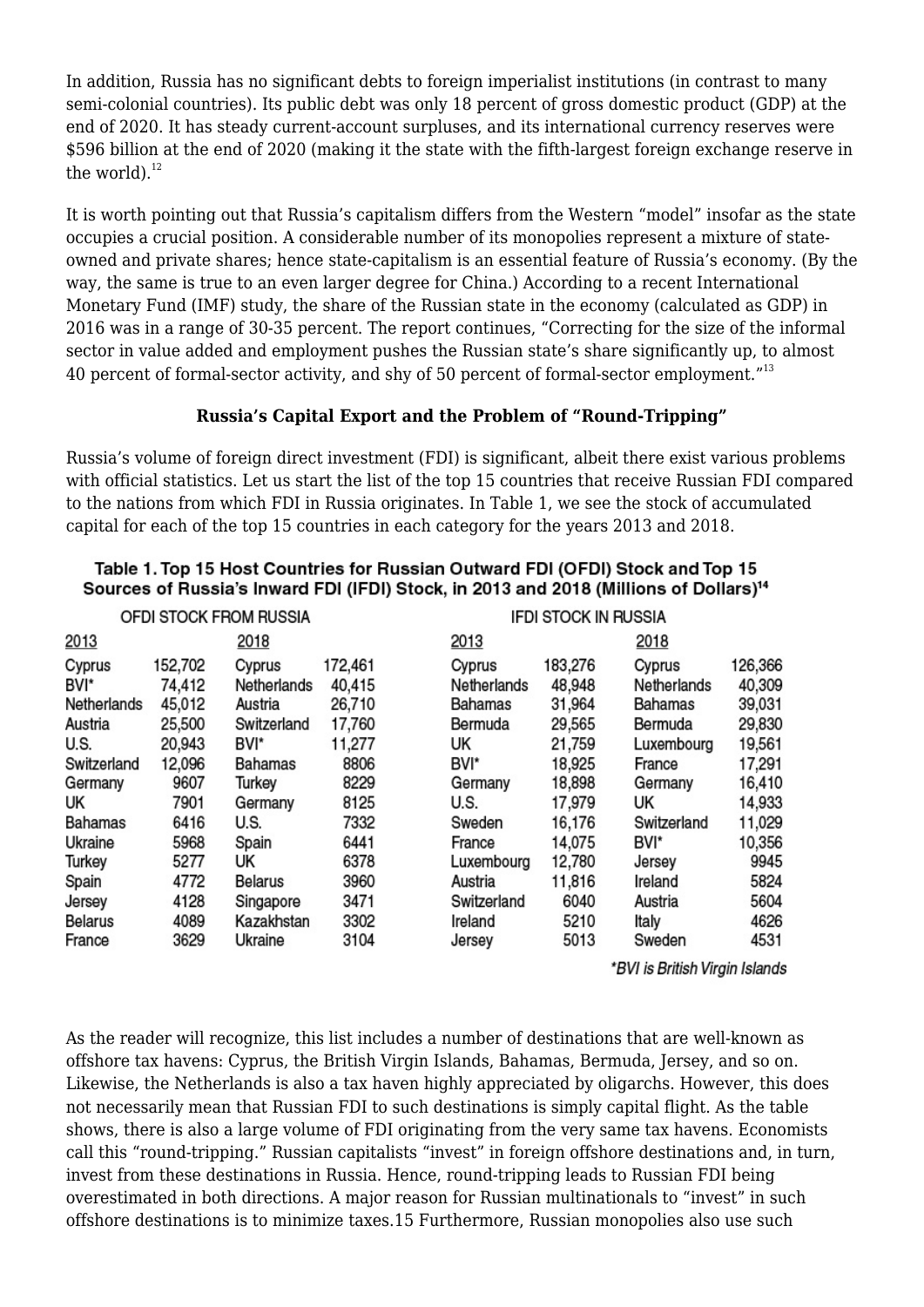In addition, Russia has no significant debts to foreign imperialist institutions (in contrast to many semi-colonial countries). Its public debt was only 18 percent of gross domestic product (GDP) at the end of 2020. It has steady current-account surpluses, and its international currency reserves were \$596 billion at the end of 2020 (making it the state with the fifth-largest foreign exchange reserve in the world). $^{12}$ 

It is worth pointing out that Russia's capitalism differs from the Western "model" insofar as the state occupies a crucial position. A considerable number of its monopolies represent a mixture of stateowned and private shares; hence state-capitalism is an essential feature of Russia's economy. (By the way, the same is true to an even larger degree for China.) According to a recent International Monetary Fund (IMF) study, the share of the Russian state in the economy (calculated as GDP) in 2016 was in a range of 30-35 percent. The report continues, "Correcting for the size of the informal sector in value added and employment pushes the Russian state's share significantly up, to almost 40 percent of formal-sector activity, and shy of 50 percent of formal-sector employment."<sup>13</sup>

## **Russia's Capital Export and the Problem of "Round-Tripping"**

Russia's volume of foreign direct investment (FDI) is significant, albeit there exist various problems with official statistics. Let us start the list of the top 15 countries that receive Russian FDI compared to the nations from which FDI in Russia originates. In Table 1, we see the stock of accumulated capital for each of the top 15 countries in each category for the years 2013 and 2018.

| OFDI STOCK FROM RUSSIA |         |                |         |             | <b>IFDI STOCK IN RUSSIA</b> |             |         |
|------------------------|---------|----------------|---------|-------------|-----------------------------|-------------|---------|
| 2013                   |         | 2018           |         | 2013        |                             | 2018        |         |
| Cyprus                 | 152,702 | Cyprus         | 172,461 | Cyprus      | 183,276                     | Cyprus      | 126,366 |
| BVI*                   | 74,412  | Netherlands    | 40,415  | Netherlands | 48,948                      | Netherlands | 40,309  |
| Netherlands            | 45,012  | Austria        | 26,710  | Bahamas     | 31,964                      | Bahamas     | 39,031  |
| Austria                | 25,500  | Switzerland    | 17,760  | Bermuda     | 29,565                      | Bermuda     | 29,830  |
| U.S.                   | 20,943  | BVI*           | 11,277  | UK          | 21,759                      | Luxembourg  | 19,561  |
| Switzerland            | 12,096  | Bahamas        | 8806    | BVI*        | 18,925                      | France      | 17,291  |
| Germany                | 9607    | Turkey         | 8229    | Germany     | 18,898                      | Germany     | 16,410  |
| UK                     | 7901    | Germany        | 8125    | U.S.        | 17,979                      | UK          | 14,933  |
| Bahamas                | 6416    | U.S.           | 7332    | Sweden      | 16,176                      | Switzerland | 11,029  |
| Ukraine                | 5968    | Spain          | 6441    | France      | 14,075                      | BVI*        | 10,356  |
| Turkey                 | 5277    | UK             | 6378    | Luxembourg  | 12,780                      | Jersey      | 9945    |
| Spain                  | 4772    | <b>Belarus</b> | 3960    | Austria     | 11,816                      | Ireland     | 5824    |
| Jersey                 | 4128    | Singapore      | 3471    | Switzerland | 6040                        | Austria     | 5604    |
| <b>Belarus</b>         | 4089    | Kazakhstan     | 3302    | Ireland     | 5210                        | Italy       | 4626    |
| France                 | 3629    | Ukraine        | 3104    | Jersey      | 5013                        | Sweden      | 4531    |
|                        |         |                |         |             |                             |             |         |

#### Table 1. Top 15 Host Countries for Russian Outward FDI (OFDI) Stock and Top 15 Sources of Russia's Inward FDI (IFDI) Stock, in 2013 and 2018 (Millions of Dollars)<sup>14</sup>

\*BVI is British Virgin Islands

As the reader will recognize, this list includes a number of destinations that are well-known as offshore tax havens: Cyprus, the British Virgin Islands, Bahamas, Bermuda, Jersey, and so on. Likewise, the Netherlands is also a tax haven highly appreciated by oligarchs. However, this does not necessarily mean that Russian FDI to such destinations is simply capital flight. As the table shows, there is also a large volume of FDI originating from the very same tax havens. Economists call this "round-tripping." Russian capitalists "invest" in foreign offshore destinations and, in turn, invest from these destinations in Russia. Hence, round-tripping leads to Russian FDI being overestimated in both directions. A major reason for Russian multinationals to "invest" in such offshore destinations is to minimize taxes.15 Furthermore, Russian monopolies also use such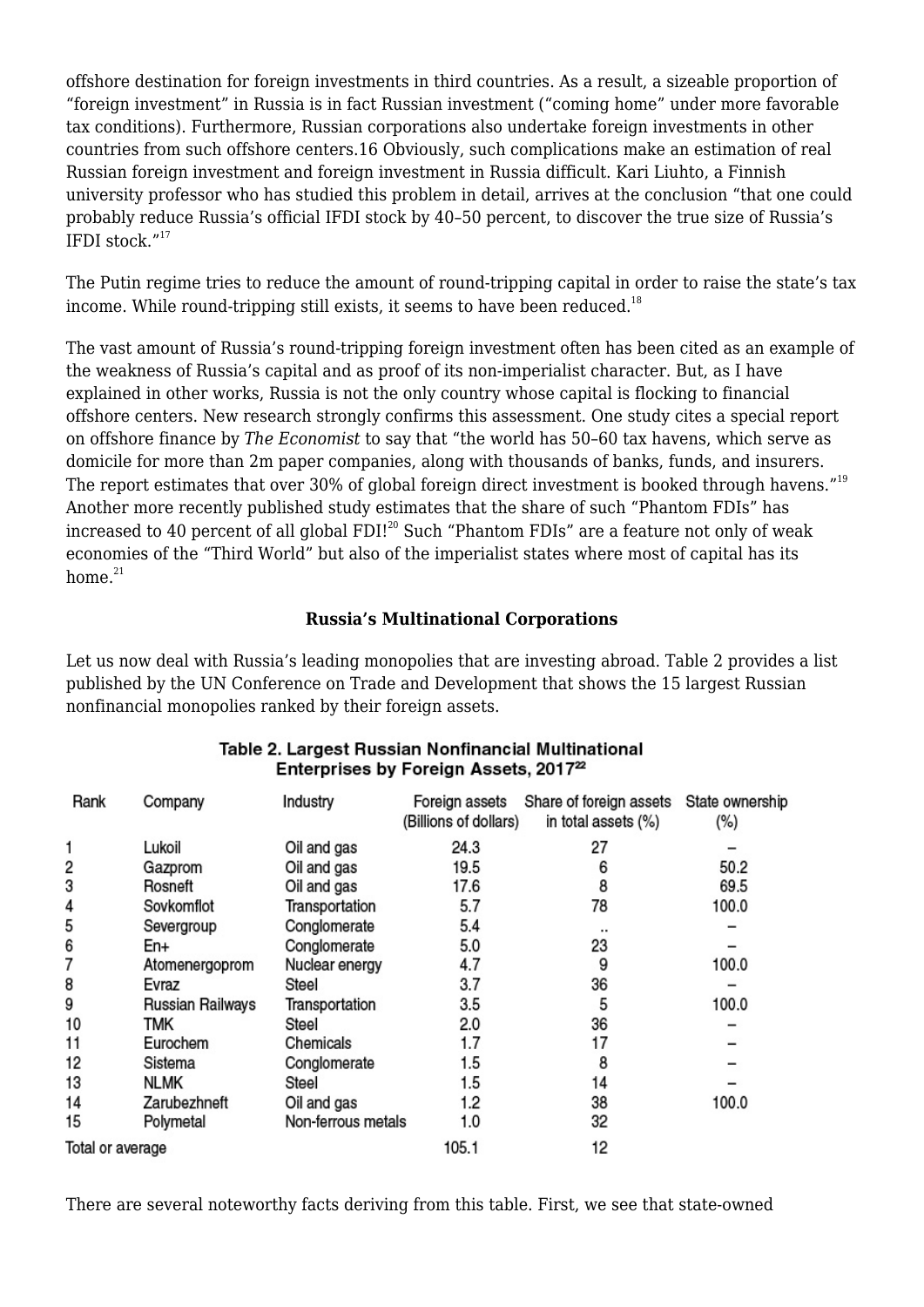offshore destination for foreign investments in third countries. As a result, a sizeable proportion of "foreign investment" in Russia is in fact Russian investment ("coming home" under more favorable tax conditions). Furthermore, Russian corporations also undertake foreign investments in other countries from such offshore centers.16 Obviously, such complications make an estimation of real Russian foreign investment and foreign investment in Russia difficult. Kari Liuhto, a Finnish university professor who has studied this problem in detail, arrives at the conclusion "that one could probably reduce Russia's official IFDI stock by 40–50 percent, to discover the true size of Russia's IFDI stock $^{\prime\prime}$ <sup>17</sup>

The Putin regime tries to reduce the amount of round-tripping capital in order to raise the state's tax income. While round-tripping still exists, it seems to have been reduced.<sup>18</sup>

The vast amount of Russia's round-tripping foreign investment often has been cited as an example of the weakness of Russia's capital and as proof of its non-imperialist character. But, as I have explained in other works, Russia is not the only country whose capital is flocking to financial offshore centers. New research strongly confirms this assessment. One study cites a special report on offshore finance by *The Economist* to say that "the world has 50–60 tax havens, which serve as domicile for more than 2m paper companies, along with thousands of banks, funds, and insurers. The report estimates that over 30% of global foreign direct investment is booked through havens."<sup>19</sup> Another more recently published study estimates that the share of such "Phantom FDIs" has increased to 40 percent of all global FDI!<sup>20</sup> Such "Phantom FDIs" are a feature not only of weak economies of the "Third World" but also of the imperialist states where most of capital has its home. $21$ 

## **Russia's Multinational Corporations**

Let us now deal with Russia's leading monopolies that are investing abroad. Table 2 provides a list published by the UN Conference on Trade and Development that shows the 15 largest Russian nonfinancial monopolies ranked by their foreign assets.

| Rank             | Company          | Industry           | Foreign assets<br>(Billions of dollars) | Share of foreign assets State ownership<br>in total assets (%) | (%)   |
|------------------|------------------|--------------------|-----------------------------------------|----------------------------------------------------------------|-------|
| 1                | Lukoil           | Oil and gas        | 24.3                                    | 27                                                             |       |
| 2                | Gazprom          | Oil and gas        | 19.5                                    | 6                                                              | 50.2  |
| 3                | Rosneft          | Oil and gas        | 17.6                                    | 8                                                              | 69.5  |
| 4                | Sovkomflot       | Transportation     | 5.7                                     | 78                                                             | 100.0 |
| 5                | Severgroup       | Conglomerate       | 5.4                                     |                                                                |       |
| 6                | En+              | Conglomerate       | 5.0                                     | 23                                                             |       |
| 7                | Atomenergoprom   | Nuclear energy     | 4.7                                     | 9                                                              | 100.0 |
| 8                | Evraz            | Steel              | 3.7                                     | 36                                                             |       |
| 9                | Russian Railways | Transportation     | 3.5                                     | 5                                                              | 100.0 |
| 10               | TMK              | Steel              | 2.0                                     | 36                                                             |       |
| 11               | Eurochem         | Chemicals          | 1.7                                     | 17                                                             |       |
| 12               | Sistema          | Conglomerate       | 1.5                                     | 8                                                              |       |
| 13               | <b>NLMK</b>      | Steel              | 1.5                                     | 14                                                             |       |
| 14               | Zarubezhneft     | Oil and gas        | 1.2                                     | 38                                                             | 100.0 |
| 15               | Polymetal        | Non-ferrous metals | 1.0                                     | 32                                                             |       |
| Total or average |                  |                    | 105.1                                   | 12                                                             |       |

#### Table 2. Largest Russian Nonfinancial Multinational Enterprises by Foreign Assets, 2017<sup>22</sup>

There are several noteworthy facts deriving from this table. First, we see that state-owned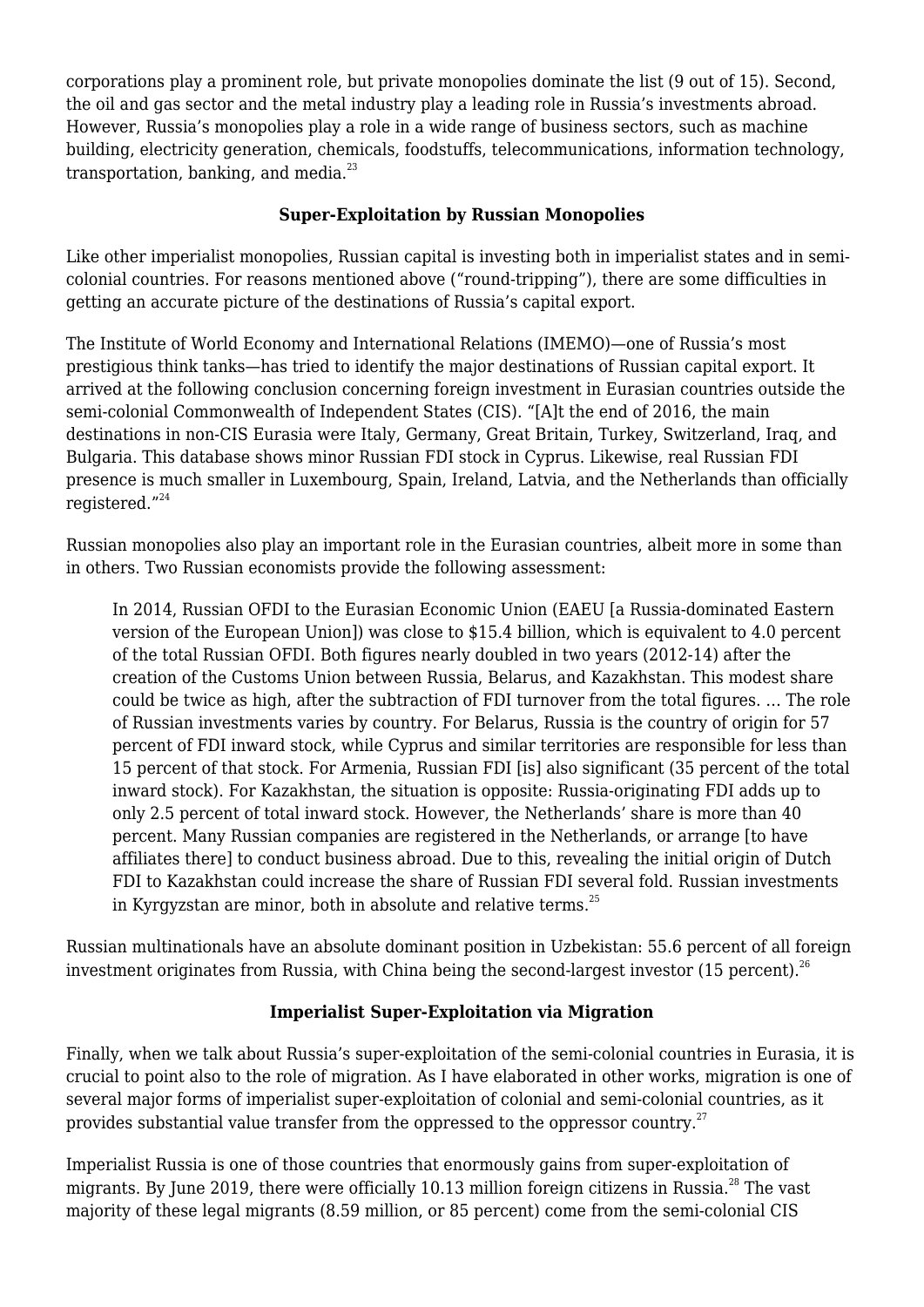corporations play a prominent role, but private monopolies dominate the list (9 out of 15). Second, the oil and gas sector and the metal industry play a leading role in Russia's investments abroad. However, Russia's monopolies play a role in a wide range of business sectors, such as machine building, electricity generation, chemicals, foodstuffs, telecommunications, information technology, transportation, banking, and media. $^{23}$ 

# **Super-Exploitation by Russian Monopolies**

Like other imperialist monopolies, Russian capital is investing both in imperialist states and in semicolonial countries. For reasons mentioned above ("round-tripping"), there are some difficulties in getting an accurate picture of the destinations of Russia's capital export.

The Institute of World Economy and International Relations (IMEMO)—one of Russia's most prestigious think tanks—has tried to identify the major destinations of Russian capital export. It arrived at the following conclusion concerning foreign investment in Eurasian countries outside the semi-colonial Commonwealth of Independent States (CIS). "[A]t the end of 2016, the main destinations in non-CIS Eurasia were Italy, Germany, Great Britain, Turkey, Switzerland, Iraq, and Bulgaria. This database shows minor Russian FDI stock in Cyprus. Likewise, real Russian FDI presence is much smaller in Luxembourg, Spain, Ireland, Latvia, and the Netherlands than officially registered."<sup>24</sup>

Russian monopolies also play an important role in the Eurasian countries, albeit more in some than in others. Two Russian economists provide the following assessment:

In 2014, Russian OFDI to the Eurasian Economic Union (EAEU [a Russia-dominated Eastern version of the European Union]) was close to \$15.4 billion, which is equivalent to 4.0 percent of the total Russian OFDI. Both figures nearly doubled in two years (2012-14) after the creation of the Customs Union between Russia, Belarus, and Kazakhstan. This modest share could be twice as high, after the subtraction of FDI turnover from the total figures. … The role of Russian investments varies by country. For Belarus, Russia is the country of origin for 57 percent of FDI inward stock, while Cyprus and similar territories are responsible for less than 15 percent of that stock. For Armenia, Russian FDI [is] also significant (35 percent of the total inward stock). For Kazakhstan, the situation is opposite: Russia-originating FDI adds up to only 2.5 percent of total inward stock. However, the Netherlands' share is more than 40 percent. Many Russian companies are registered in the Netherlands, or arrange [to have affiliates there] to conduct business abroad. Due to this, revealing the initial origin of Dutch FDI to Kazakhstan could increase the share of Russian FDI several fold. Russian investments in Kyrgyzstan are minor, both in absolute and relative terms. $^{25}$ 

Russian multinationals have an absolute dominant position in Uzbekistan: 55.6 percent of all foreign investment originates from Russia, with China being the second-largest investor  $(15 \text{ percent})$ .<sup>26</sup>

# **Imperialist Super-Exploitation via Migration**

Finally, when we talk about Russia's super-exploitation of the semi-colonial countries in Eurasia, it is crucial to point also to the role of migration. As I have elaborated in other works, migration is one of several major forms of imperialist super-exploitation of colonial and semi-colonial countries, as it provides substantial value transfer from the oppressed to the oppressor country. $27$ 

Imperialist Russia is one of those countries that enormously gains from super-exploitation of migrants. By June 2019, there were officially 10.13 million foreign citizens in Russia.<sup>28</sup> The vast majority of these legal migrants (8.59 million, or 85 percent) come from the semi-colonial CIS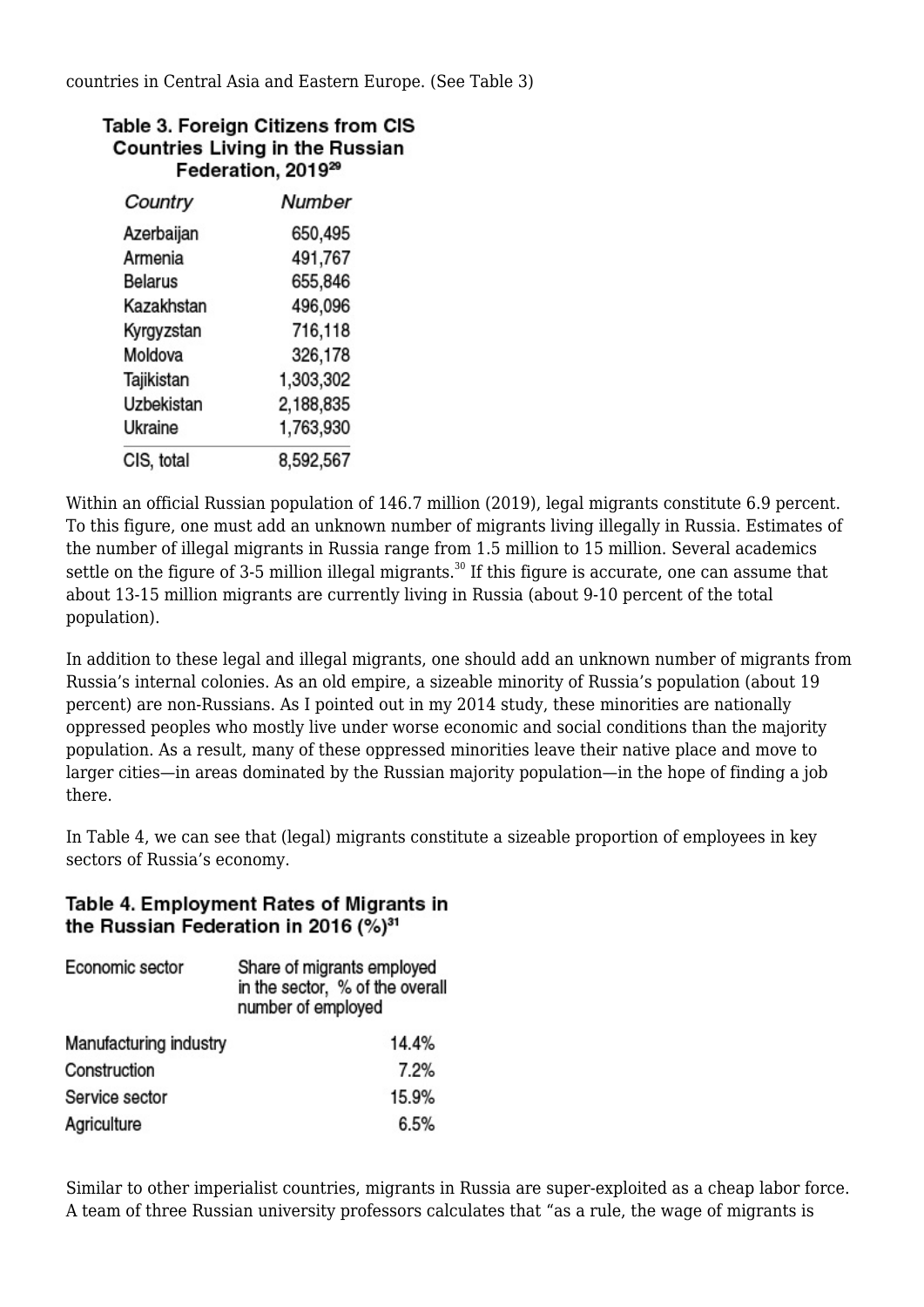countries in Central Asia and Eastern Europe. (See Table 3)

| Table 3. Foreign Citizens from CIS     |
|----------------------------------------|
| <b>Countries Living in the Russian</b> |
| Federation, 2019 <sup>29</sup>         |

| Country        | Number    |
|----------------|-----------|
| Azerbaijan     | 650,495   |
| Armenia        | 491,767   |
| <b>Belarus</b> | 655,846   |
| Kazakhstan     | 496,096   |
| Kyrgyzstan     | 716,118   |
| Moldova        | 326,178   |
| Tajikistan     | 1,303,302 |
| Uzbekistan     | 2,188,835 |
| Ukraine        | 1,763,930 |
| CIS, total     | 8,592,567 |

Within an official Russian population of 146.7 million (2019), legal migrants constitute 6.9 percent. To this figure, one must add an unknown number of migrants living illegally in Russia. Estimates of the number of illegal migrants in Russia range from 1.5 million to 15 million. Several academics settle on the figure of  $3-5$  million illegal migrants.<sup>30</sup> If this figure is accurate, one can assume that about 13-15 million migrants are currently living in Russia (about 9-10 percent of the total population).

In addition to these legal and illegal migrants, one should add an unknown number of migrants from Russia's internal colonies. As an old empire, a sizeable minority of Russia's population (about 19 percent) are non-Russians. As I pointed out in my 2014 study, these minorities are nationally oppressed peoples who mostly live under worse economic and social conditions than the majority population. As a result, many of these oppressed minorities leave their native place and move to larger cities—in areas dominated by the Russian majority population—in the hope of finding a job there.

In Table 4, we can see that (legal) migrants constitute a sizeable proportion of employees in key sectors of Russia's economy.

# Table 4. Employment Rates of Migrants in the Russian Federation in 2016 (%)<sup>31</sup>

| Economic sector        | Share of migrants employed<br>in the sector, % of the overall<br>number of employed |
|------------------------|-------------------------------------------------------------------------------------|
| Manufacturing industry | 14.4%                                                                               |
| Construction           | 7.2%                                                                                |
| Service sector         | 15.9%                                                                               |
| Agriculture            | 6.5%                                                                                |

Similar to other imperialist countries, migrants in Russia are super-exploited as a cheap labor force. A team of three Russian university professors calculates that "as a rule, the wage of migrants is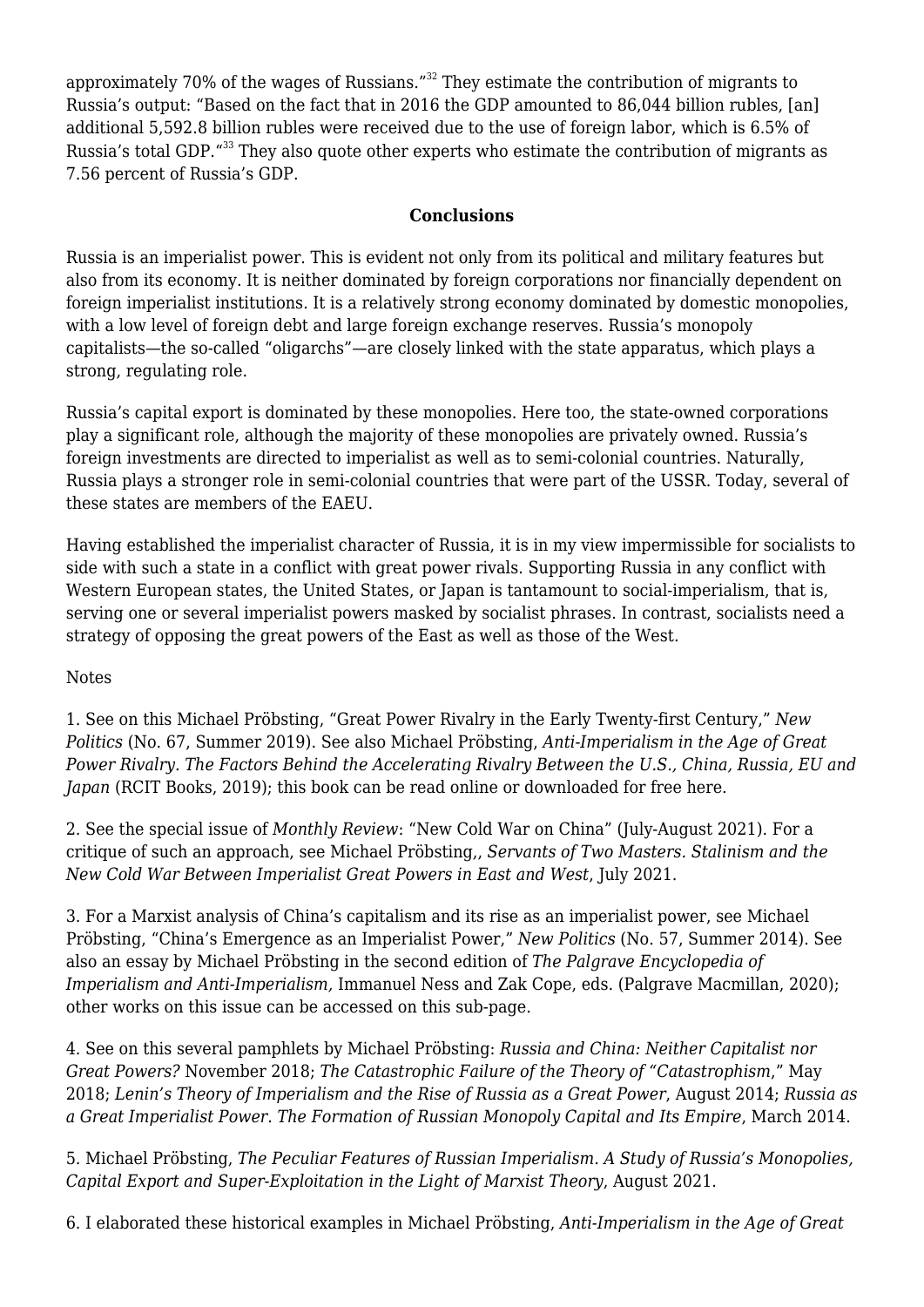approximately 70% of the wages of Russians."<sup>32</sup> They estimate the contribution of migrants to Russia's output: "Based on the fact that in 2016 the GDP amounted to 86,044 billion rubles, [an] additional 5,592.8 billion rubles were received due to the use of foreign labor, which is 6.5% of Russia's total GDP.<sup>"33</sup> They also quote other experts who estimate the contribution of migrants as 7.56 percent of Russia's GDP.

## **Conclusions**

Russia is an imperialist power. This is evident not only from its political and military features but also from its economy. It is neither dominated by foreign corporations nor financially dependent on foreign imperialist institutions. It is a relatively strong economy dominated by domestic monopolies, with a low level of foreign debt and large foreign exchange reserves. Russia's monopoly capitalists—the so-called "oligarchs"—are closely linked with the state apparatus, which plays a strong, regulating role.

Russia's capital export is dominated by these monopolies. Here too, the state-owned corporations play a significant role, although the majority of these monopolies are privately owned. Russia's foreign investments are directed to imperialist as well as to semi-colonial countries. Naturally, Russia plays a stronger role in semi-colonial countries that were part of the USSR. Today, several of these states are members of the EAEU.

Having established the imperialist character of Russia, it is in my view impermissible for socialists to side with such a state in a conflict with great power rivals. Supporting Russia in any conflict with Western European states, the United States, or Japan is tantamount to social-imperialism, that is, serving one or several imperialist powers masked by socialist phrases. In contrast, socialists need a strategy of opposing the great powers of the East as well as those of the West.

#### Notes

1. See on this Michael Pröbsting, "Great Power Rivalry in the Early Twenty-first Century," *New Politics* (No. 67, Summer 2019). See also Michael Pröbsting, *Anti-Imperialism in the Age of Great Power Rivalry. The Factors Behind the Accelerating Rivalry Between the U.S., China, Russia, EU and Japan* (RCIT Books, 2019); this book can be read online or downloaded for free [here](http://www.thecommunists.net/theory/anti-imperialism-in-the-age-of-great-power-rivalry/).

2. See the special issue of *Monthly Review*: ["New Cold War on China](http://monthlyreview.org/2021/07/01/mr-073-03-2021-07_0/)" (July-August 2021). For a critique of such an approach, see Michael Pröbsting,, *[Servants of Two Masters. Stalinism and the](http://www.thecommunists.net/theory/servants-of-two-masters-stalinism-and-new-cold-war/) [New Cold War Between Imperialist Great Powers in East and West](http://www.thecommunists.net/theory/servants-of-two-masters-stalinism-and-new-cold-war/)*[,](http://www.thecommunists.net/theory/servants-of-two-masters-stalinism-and-new-cold-war/) July 2021.

3. For a Marxist analysis of China's capitalism and its rise as an imperialist power, see Michael Pröbsting, "China's Emergence as an Imperialist Power," *New Politics* (No. 57, Summer 2014). See also [an essay by Michael Pröbsting](http://link.springer.com/referenceworkentry/10.1007%2F978-3-319-91206-6_179-1) in the second edition of *The Palgrave Encyclopedia of Imperialism and Anti-Imperialism,* Immanuel Ness and Zak Cope, eds. (Palgrave Macmillan, 2020); other works on this issue can be accessed [on this sub-page](http://www.thecommunists.net/theory/china-russia-as-imperialist-powers/).

4. See on this several pamphlets by Michael Pröbsting: *[Russia and China: Neither Capitalist nor](http://www.thecommunists.net/theory/russia-and-china-neither-capitalist-nor-great-powers-reply-to-po-crfi/) [Great Powers?](http://www.thecommunists.net/theory/russia-and-china-neither-capitalist-nor-great-powers-reply-to-po-crfi/)* November 2018; *[The Catastrophic Failure of the Theory of "Catastrophism](http://www.thecommunists.net/theory/the-catastrophic-failure-of-the-theory-of-catastrophism/)*[,"](http://www.thecommunists.net/theory/the-catastrophic-failure-of-the-theory-of-catastrophism/) May 2018; *[Lenin's Theory of Imperialism and the Rise of Russia as a Great Power](http://www.thecommunists.net/theory/imperialism-theory-and-russia/)*, August 2014; *[Russia as](http://www.thecommunists.net/theory/imperialist-russia/) [a Great Imperialist Power. The Formation of Russian Monopoly Capital and Its Empire](http://www.thecommunists.net/theory/imperialist-russia/)*, March 2014.

5. Michael Pröbsting, *[The Peculiar Features of Russian Imperialism. A Study of Russia's Monopolies,](http://www.thecommunists.net/theory/the-peculiar-features-of-russian-imperialism/) [Capital Export and Super-Exploitation in the Light of Marxist Theory](http://www.thecommunists.net/theory/the-peculiar-features-of-russian-imperialism/)*[,](http://www.thecommunists.net/theory/the-peculiar-features-of-russian-imperialism/) August 2021.

6. I elaborated these historical examples in Michael Pröbsting, *Anti-Imperialism in the Age of Great*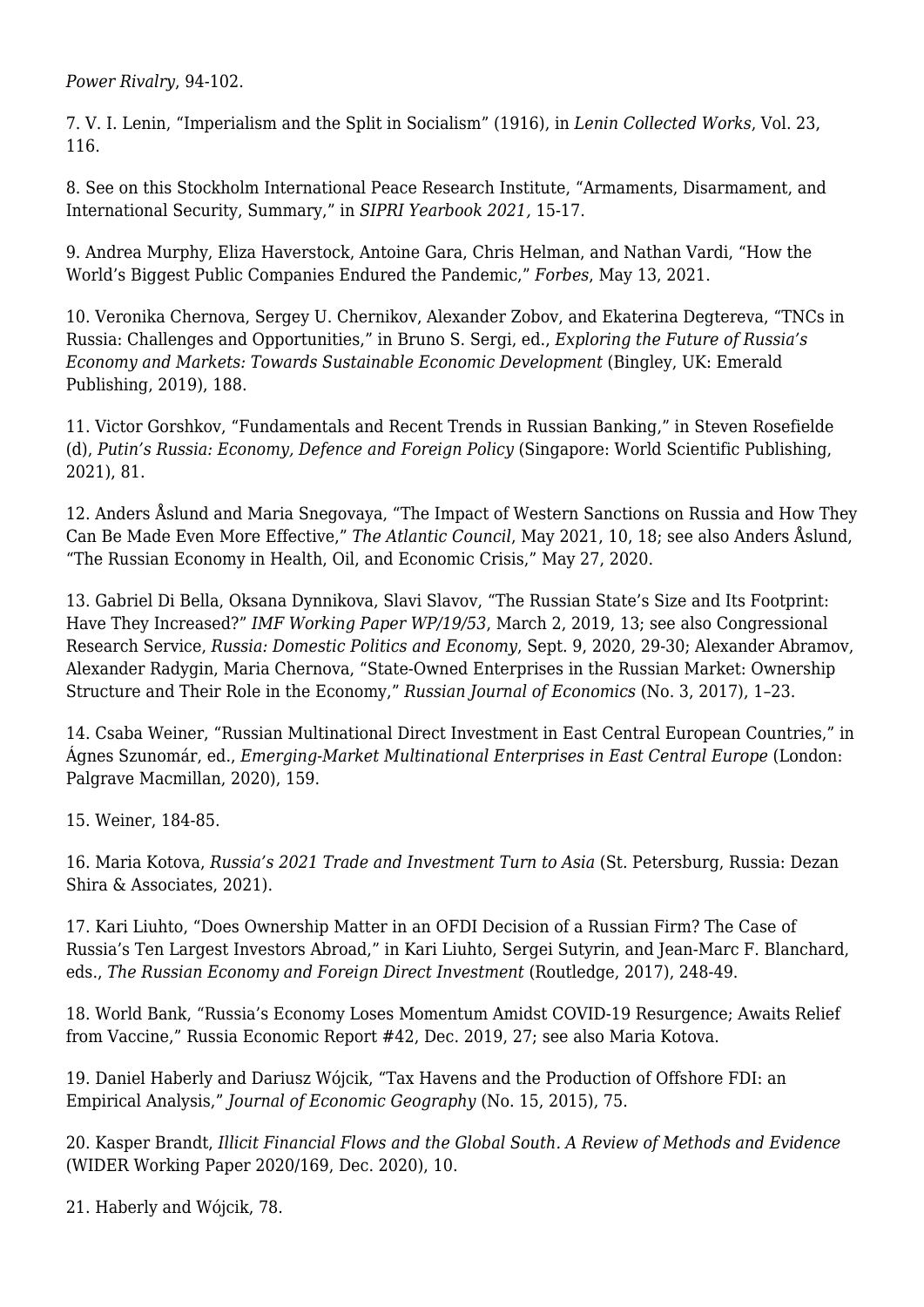*Power Rivalry*, 94-102.

7. V. I. Lenin, "Imperialism and the Split in Socialism" (1916), in *Lenin Collected Works*, Vol. 23, 116.

8. See on this Stockholm International Peace Research Institute, "Armaments, Disarmament, and International Security, Summary," in *SIPRI Yearbook 2021,* 15-17.

9. Andrea Murphy, Eliza Haverstock, Antoine Gara, Chris Helman, and Nathan Vardi, "[How the](http://www.forbes.com/lists/global2000/#360e8b5a5ac0) [World's Biggest Public Companies Endured the Pandemic,"](http://www.forbes.com/lists/global2000/#360e8b5a5ac0) *Forbes*, May 13, 2021.

10. Veronika Chernova, Sergey U. Chernikov, Alexander Zobov, and Ekaterina Degtereva, "TNCs in Russia: Challenges and Opportunities," in Bruno S. Sergi, ed., *Exploring the Future of Russia's Economy and Markets: Towards Sustainable Economic Development* (Bingley, UK: Emerald Publishing, 2019), 188.

11. Victor Gorshkov, "Fundamentals and Recent Trends in Russian Banking," in Steven Rosefielde (d), *Putin's Russia: Economy, Defence and Foreign Policy* (Singapore: World Scientific Publishing, 2021), 81.

12. Anders Åslund and Maria Snegovaya, "The Impact of Western Sanctions on Russia and How They Can Be Made Even More Effective," *The Atlantic Council*, May 2021, 10, 18; see also Anders Åslund, "[The Russian Economy in Health, Oil, and Economic Crisis,"](http://www.atlanticcouncil.org/commentary/long-take/the-russian-economy-in-health-oil-and-economic-crisis/) May 27, 2020.

13. Gabriel Di Bella, Oksana Dynnikova, Slavi Slavov, "The Russian State's Size and Its Footprint: Have They Increased?" *IMF Working Paper WP/19/53*, March 2, 2019, 13; see also Congressional Research Service, *Russia: Domestic Politics and Economy*, Sept. 9, 2020, 29-30; Alexander Abramov, Alexander Radygin, Maria Chernova, "State-Owned Enterprises in the Russian Market: Ownership Structure and Their Role in the Economy," *Russian Journal of Economics* (No. 3, 2017), 1–23.

14. Csaba Weiner, "Russian Multinational Direct Investment in East Central European Countries," in Ágnes Szunomár, ed., *Emerging-Market Multinational Enterprises in East Central Europe* (London: Palgrave Macmillan, 2020), 159.

15. Weiner, 184-85.

16. Maria Kotova, *[Russia's 2021 Trade and Investment Turn to Asia](http://www.russia-briefing.com/news/russia-s-2021-trade-and-investment-turn-to-asia.html/)* (St. Petersburg, Russia: Dezan Shira & Associates, 2021).

17. Kari Liuhto, "Does Ownership Matter in an OFDI Decision of a Russian Firm? The Case of Russia's Ten Largest Investors Abroad," in Kari Liuhto, Sergei Sutyrin, and Jean-Marc F. Blanchard, eds., *The Russian Economy and Foreign Direct Investment* (Routledge, 2017), 248-49.

18. World Bank, "Russia's Economy Loses Momentum Amidst COVID-19 Resurgence; Awaits Relief from Vaccine," Russia Economic Report #42, Dec. 2019, 27; see also Maria Kotova.

19. Daniel Haberly and Dariusz Wójcik, "Tax Havens and the Production of Offshore FDI: an Empirical Analysis," *Journal of Economic Geography* (No. 15, 2015), 75.

20. Kasper Brandt, *Illicit Financial Flows and the Global South. A Review of Methods and Evidence* (WIDER Working Paper 2020/169, Dec. 2020), 10.

21. Haberly and Wójcik, 78.